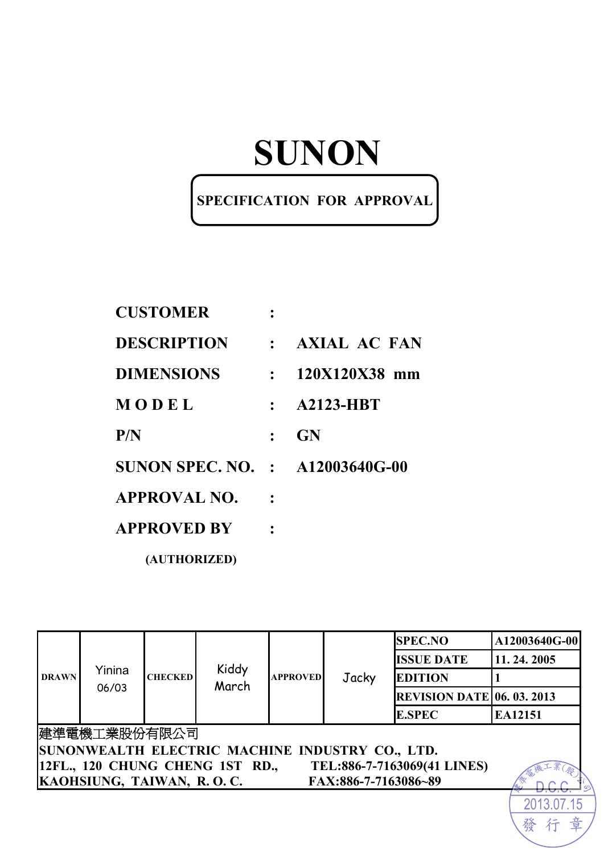# **SUNON**

### **SPECIFICATION FOR APPROVAL**

| <b>CUSTOMER</b>                        |             |                  |
|----------------------------------------|-------------|------------------|
| <b>DESCRIPTION</b>                     |             | : AXIAL AC FAN   |
| <b>DIMENSIONS</b>                      | $\bullet$ . | 120X120X38 mm    |
| MODEL                                  |             | <b>A2123-HBT</b> |
| P/N                                    |             | <b>GN</b>        |
| <b>SUNON SPEC. NO. : A12003640G-00</b> |             |                  |
| <b>APPROVAL NO.</b>                    |             |                  |
| <b>APPROVED BY</b>                     |             |                  |
| (AUTHORIZED)                           |             |                  |

| <b>DRAWN</b> |                                                 |                | Kiddy<br>March                  | <b>APPROVED</b> | Jacky                | <b>SPEC.NO</b>                    | A12003640G-00 |  |
|--------------|-------------------------------------------------|----------------|---------------------------------|-----------------|----------------------|-----------------------------------|---------------|--|
|              | Yinina<br>06/03                                 |                |                                 |                 |                      | <b>ISSUE DATE</b>                 | 11.24.2005    |  |
|              |                                                 | <b>CHECKED</b> |                                 |                 |                      | <b>EDITION</b>                    |               |  |
|              |                                                 |                |                                 |                 |                      | <b>REVISION DATE 06. 03. 2013</b> |               |  |
|              |                                                 |                |                                 |                 |                      | <b>E.SPEC</b>                     | EA12151       |  |
|              | 建準電機工業股份有限公司                                    |                |                                 |                 |                      |                                   |               |  |
|              | SUNONWEALTH ELECTRIC MACHINE INDUSTRY CO., LTD. |                |                                 |                 |                      |                                   |               |  |
|              |                                                 |                | 12FL., 120 CHUNG CHENG 1ST RD., |                 |                      | TEL:886-7-7163069(41 LINES)       |               |  |
|              | KAOHSIUNG, TAIWAN, R.O.C.                       |                |                                 |                 | FAX:886-7-7163086~89 |                                   |               |  |
|              |                                                 |                |                                 |                 |                      |                                   |               |  |

發

行

章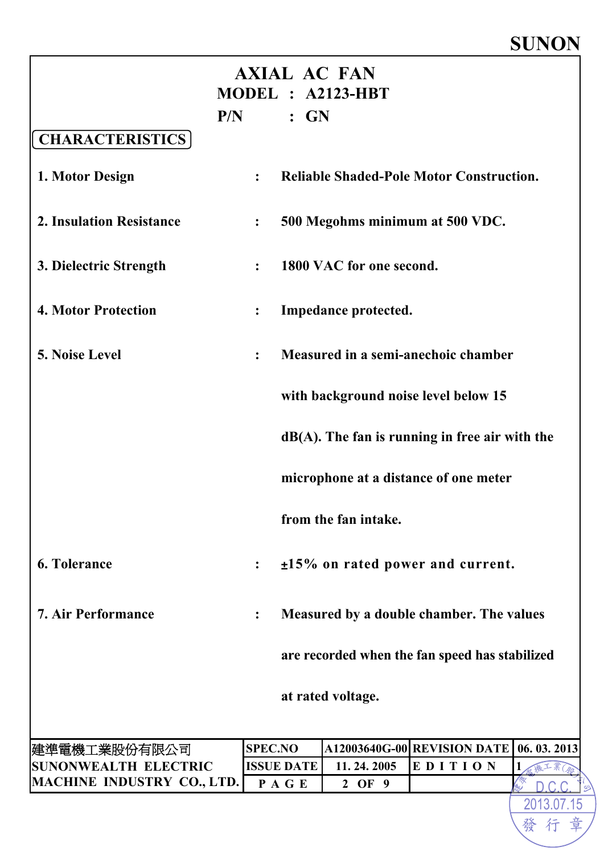# **SUNON**

2013.07.15

發行

|                                             |                |                   | <b>AXIAL AC FAN</b><br>MODEL : A2123-HBT          |         |            |
|---------------------------------------------|----------------|-------------------|---------------------------------------------------|---------|------------|
|                                             |                | $P/N$ : $GN$      |                                                   |         |            |
| <b>CHARACTERISTICS</b>                      |                |                   |                                                   |         |            |
| 1. Motor Design                             | $\ddot{\cdot}$ |                   | <b>Reliable Shaded-Pole Motor Construction.</b>   |         |            |
| <b>2. Insulation Resistance</b>             | $\ddot{\cdot}$ |                   | 500 Megohms minimum at 500 VDC.                   |         |            |
| 3. Dielectric Strength                      |                |                   | 1800 VAC for one second.                          |         |            |
| <b>4. Motor Protection</b>                  | $\ddot{\cdot}$ |                   | Impedance protected.                              |         |            |
| 5. Noise Level                              | $\ddot{\cdot}$ |                   | Measured in a semi-anechoic chamber               |         |            |
|                                             |                |                   | with background noise level below 15              |         |            |
|                                             |                |                   | $dB(A)$ . The fan is running in free air with the |         |            |
|                                             |                |                   | microphone at a distance of one meter             |         |            |
|                                             |                |                   | from the fan intake.                              |         |            |
| <b>6. Tolerance</b>                         |                |                   | $±15\%$ on rated power and current.               |         |            |
| <b>7. Air Performance</b>                   |                |                   | Measured by a double chamber. The values          |         |            |
|                                             |                |                   | are recorded when the fan speed has stabilized    |         |            |
|                                             |                |                   | at rated voltage.                                 |         |            |
|                                             |                |                   |                                                   |         |            |
| 建準電機工業股份有限公司<br><b>SUNONWEALTH ELECTRIC</b> | <b>SPEC.NO</b> | <b>ISSUE DATE</b> | A12003640G-00 REVISION DATE<br>11.24.2005         | EDITION | 06.03.2013 |
| MACHINE INDUSTRY CO., LTD.                  | PAGE           |                   | 2 OF 9                                            |         | 1<br>藏工業   |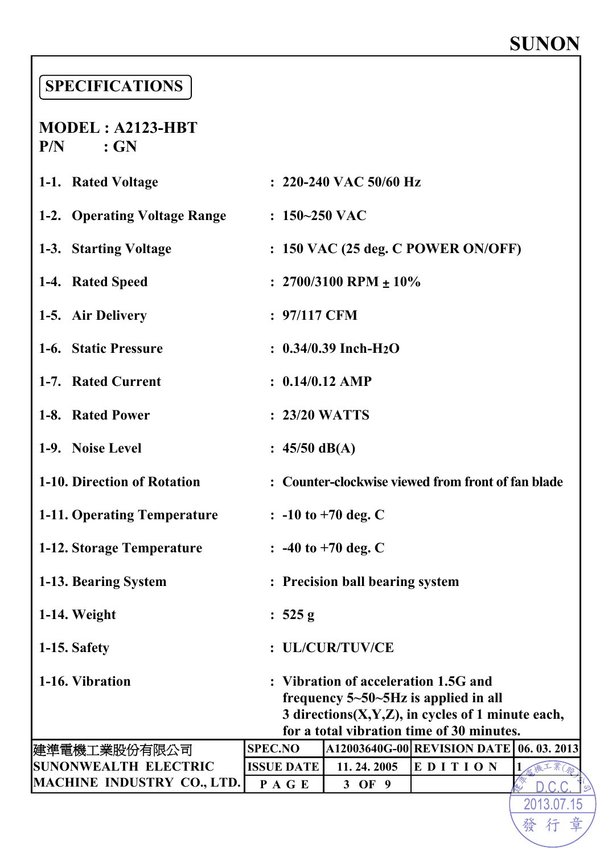# **SUNON**

### **SPECIFICATIONS**

**MODEL : A2123-HBT P/N : GN** 

| 1-1. Rated Voltage                 |                                                    |                   | $: 220-240$ VAC 50/60 Hz                                                                         |  |         |   |  |  |
|------------------------------------|----------------------------------------------------|-------------------|--------------------------------------------------------------------------------------------------|--|---------|---|--|--|
| 1-2. Operating Voltage Range       |                                                    | $: 150 - 250$ VAC |                                                                                                  |  |         |   |  |  |
| 1-3. Starting Voltage              |                                                    |                   | $: 150$ VAC (25 deg. C POWER ON/OFF)                                                             |  |         |   |  |  |
| 1-4. Rated Speed                   |                                                    |                   | : $2700/3100$ RPM $\pm 10\%$                                                                     |  |         |   |  |  |
| 1-5. Air Delivery                  |                                                    | $: 97/117$ CFM    |                                                                                                  |  |         |   |  |  |
| 1-6. Static Pressure               | $: 0.34/0.39$ Inch-H <sub>2</sub> O                |                   |                                                                                                  |  |         |   |  |  |
| 1-7. Rated Current                 |                                                    |                   | $: 0.14/0.12$ AMP                                                                                |  |         |   |  |  |
| 1-8. Rated Power                   |                                                    |                   | $: 23/20$ WATTS                                                                                  |  |         |   |  |  |
| 1-9. Noise Level                   |                                                    | : $45/50$ dB(A)   |                                                                                                  |  |         |   |  |  |
| 1-10. Direction of Rotation        | : Counter-clockwise viewed from front of fan blade |                   |                                                                                                  |  |         |   |  |  |
| <b>1-11. Operating Temperature</b> |                                                    |                   | $\therefore$ -10 to +70 deg. C                                                                   |  |         |   |  |  |
| 1-12. Storage Temperature          |                                                    |                   | $\therefore$ -40 to +70 deg. C                                                                   |  |         |   |  |  |
| 1-13. Bearing System               |                                                    |                   | : Precision ball bearing system                                                                  |  |         |   |  |  |
| 1-14. Weight                       |                                                    | : $525 g$         |                                                                                                  |  |         |   |  |  |
| 1-15. Safety                       |                                                    |                   | : UL/CUR/TUV/CE                                                                                  |  |         |   |  |  |
| 1-16. Vibration                    |                                                    |                   | : Vibration of acceleration 1.5G and                                                             |  |         |   |  |  |
|                                    |                                                    |                   | frequency $5-50-5Hz$ is applied in all<br>3 directions $(X, Y, Z)$ , in cycles of 1 minute each, |  |         |   |  |  |
|                                    |                                                    |                   | for a total vibration time of 30 minutes.                                                        |  |         |   |  |  |
| 建準電機工業股份有限公司                       | <b>SPEC.NO</b>                                     |                   | A12003640G-00 REVISION DATE 06. 03. 2013                                                         |  |         |   |  |  |
| <b>SUNONWEALTH ELECTRIC</b>        |                                                    | <b>ISSUE DATE</b> | 11.24.2005                                                                                       |  | EDITION | 1 |  |  |
| <b>MACHINE INDUSTRY CO., LTD.</b>  |                                                    | PAGE              | 3 OF 9                                                                                           |  |         |   |  |  |
|                                    |                                                    |                   |                                                                                                  |  |         |   |  |  |

2013.07.15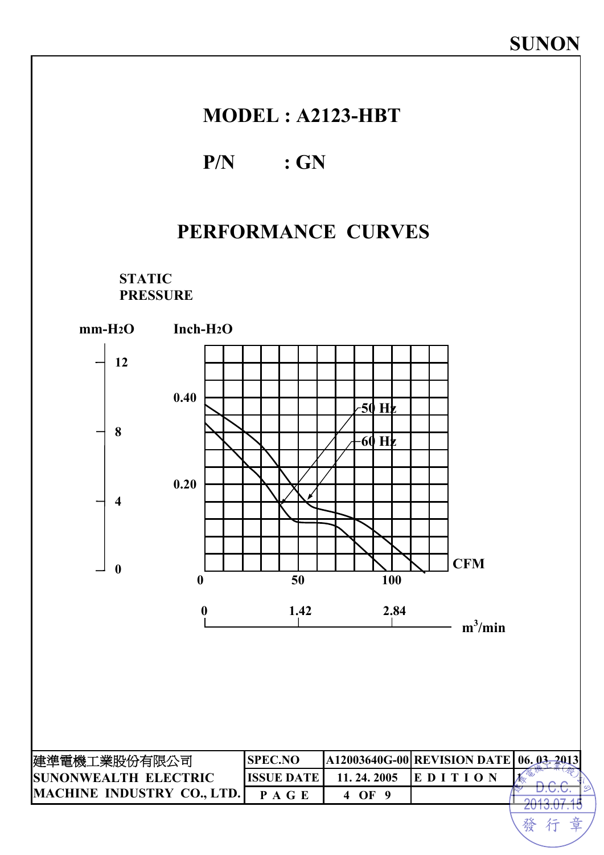### **MODEL : A2123-HBT**

### **P/N : GN**

# **PERFORMANCE CURVES**

**STATIC PRESSURE** 

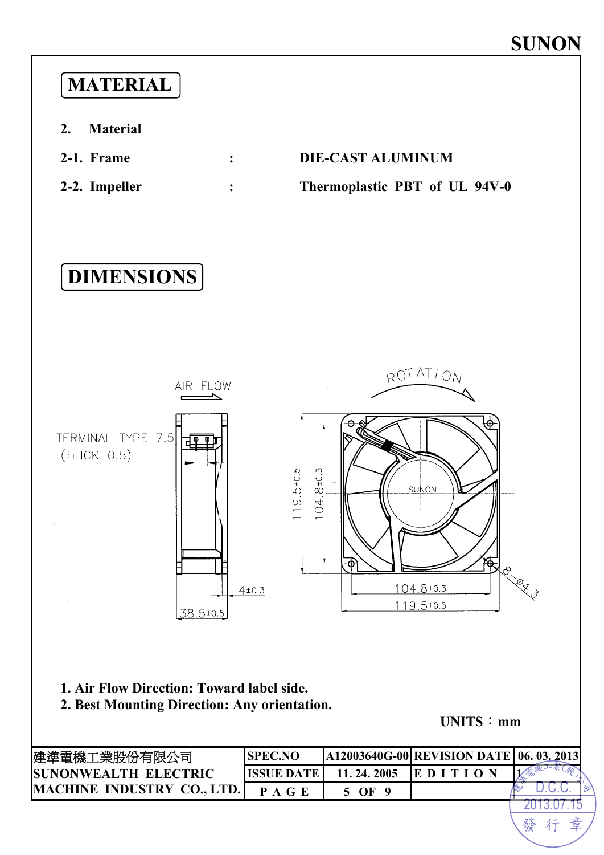# **MATERIAL**

- **2. Material**
- **2-1. Frame : DIE-CAST ALUMINUM**
- 

# **2-2. Impeller : Thermoplastic PBT of UL 94V-0**





**1. Air Flow Direction: Toward label side.**

**2. Best Mounting Direction: Any orientation.**

**UNITS**:**mm**

| 建準電機工業股份有限公司                | <b>SPEC.NO</b>    |            | A12003640G-00 REVISION DATE 06. 03. 2013 |   |
|-----------------------------|-------------------|------------|------------------------------------------|---|
| <b>SUNONWEALTH ELECTRIC</b> | <b>ISSUE DATE</b> | 11.24.2005 | <b>EDITION</b>                           |   |
| MACHINE INDUSTRY CO., LTD.  | <b>PAGE</b>       | 5 OF       |                                          |   |
|                             |                   |            |                                          |   |
|                             |                   |            |                                          | 發 |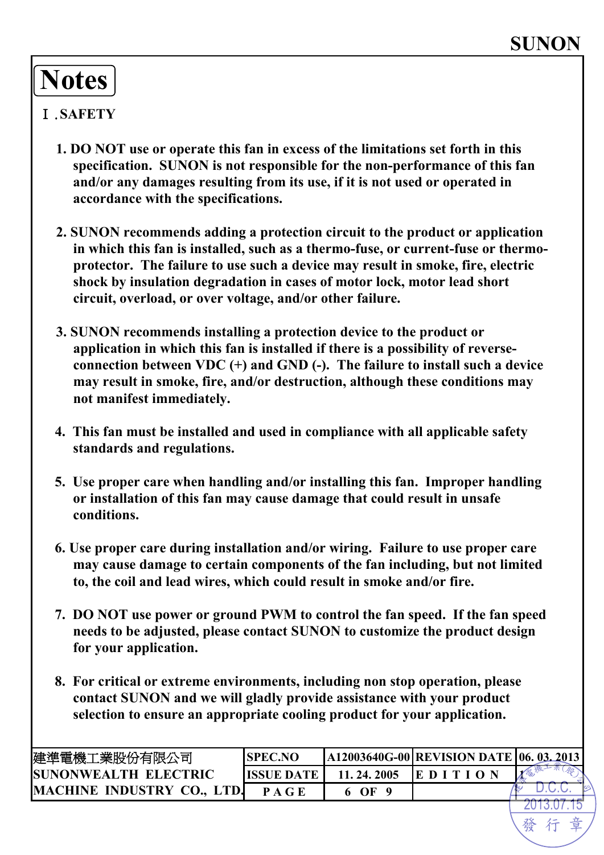# **Notes**

### Ⅰ.**SAFETY**

- **1. DO NOT use or operate this fan in excess of the limitations set forth in this specification. SUNON is not responsible for the non-performance of this fan and/or any damages resulting from its use, if it is not used or operated in accordance with the specifications.**
- **2. SUNON recommends adding a protection circuit to the product or application in which this fan is installed, such as a thermo-fuse, or current-fuse or thermoprotector. The failure to use such a device may result in smoke, fire, electric shock by insulation degradation in cases of motor lock, motor lead short circuit, overload, or over voltage, and/or other failure.**
- **3. SUNON recommends installing a protection device to the product or application in which this fan is installed if there is a possibility of reverseconnection between VDC (+) and GND (-). The failure to install such a device may result in smoke, fire, and/or destruction, although these conditions may not manifest immediately.**
- **4. This fan must be installed and used in compliance with all applicable safety standards and regulations.**
- **5. Use proper care when handling and/or installing this fan. Improper handling or installation of this fan may cause damage that could result in unsafe conditions.**
- **6. Use proper care during installation and/or wiring. Failure to use proper care may cause damage to certain components of the fan including, but not limited to, the coil and lead wires, which could result in smoke and/or fire.**
- **7. DO NOT use power or ground PWM to control the fan speed. If the fan speed needs to be adjusted, please contact SUNON to customize the product design for your application.**
- **8. For critical or extreme environments, including non stop operation, please contact SUNON and we will gladly provide assistance with your product selection to ensure an appropriate cooling product for your application.**

| 建準電機工業股份有限公司                 | <b>SPEC.NO</b>    |              | <b>A12003640G-00 REVISION DATE 06. 03.2013</b> |  |
|------------------------------|-------------------|--------------|------------------------------------------------|--|
| <b>ISUNONWEALTH ELECTRIC</b> | <b>ISSUE DATE</b> | 11, 24, 2005 | EDI                                            |  |
| MACHINE INDUSTRY CO., LTD.   | P A G E           | 6 OF         |                                                |  |
|                              |                   |              |                                                |  |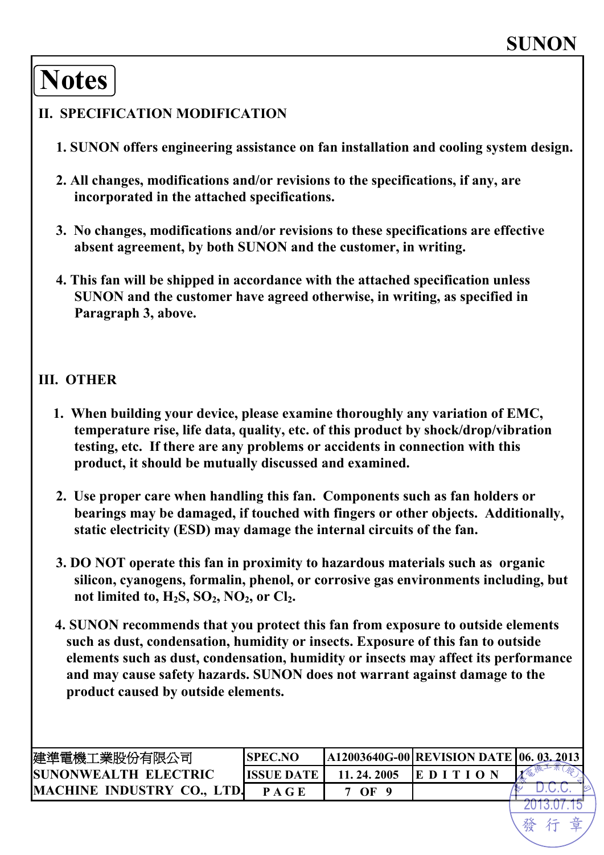# **Notes**

#### **II. SPECIFICATION MODIFICATION**

- **1. SUNON offers engineering assistance on fan installation and cooling system design.**
- **2. All changes, modifications and/or revisions to the specifications, if any, are incorporated in the attached specifications.**
- **3. No changes, modifications and/or revisions to these specifications are effective absent agreement, by both SUNON and the customer, in writing.**
- **4. This fan will be shipped in accordance with the attached specification unless SUNON and the customer have agreed otherwise, in writing, as specified in Paragraph 3, above.**

#### **III. OTHER**

- **1. When building your device, please examine thoroughly any variation of EMC, temperature rise, life data, quality, etc. of this product by shock/drop/vibration testing, etc. If there are any problems or accidents in connection with this product, it should be mutually discussed and examined.**
- **2. Use proper care when handling this fan. Components such as fan holders or bearings may be damaged, if touched with fingers or other objects. Additionally, static electricity (ESD) may damage the internal circuits of the fan.**
- **3. DO NOT operate this fan in proximity to hazardous materials such as organic silicon, cyanogens, formalin, phenol, or corrosive gas environments including, but**  not limited to,  $H_2S$ ,  $SO_2$ ,  $NO_2$ , or  $Cl_2$ .
- **4. SUNON recommends that you protect this fan from exposure to outside elements such as dust, condensation, humidity or insects. Exposure of this fan to outside elements such as dust, condensation, humidity or insects may affect its performance and may cause safety hazards. SUNON does not warrant against damage to the product caused by outside elements.**

| 建準電機工業股份有限公司                      | <b>ISPEC.NO</b> |              | A12003640G-00 REVISION DATE   06. 03. 2013 |  |
|-----------------------------------|-----------------|--------------|--------------------------------------------|--|
| <b>SUNONWEALTH ELECTRIC</b>       | IISSUE DATE     | 11, 24, 2005 | IE D I T                                   |  |
| <b>MACHINE INDUSTRY CO., LTD.</b> | P A G E         | - OF         |                                            |  |
|                                   |                 |              |                                            |  |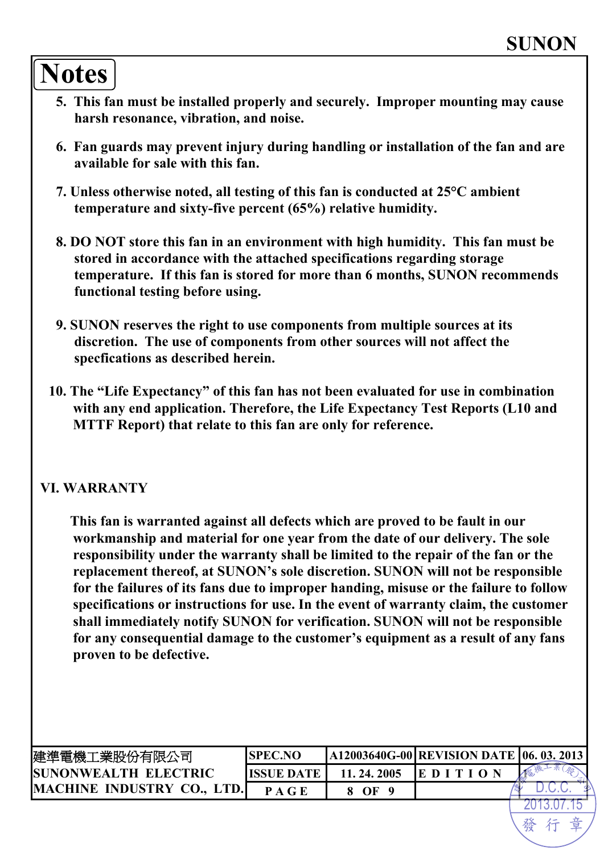# **Notes**

- **5. This fan must be installed properly and securely. Improper mounting may cause harsh resonance, vibration, and noise.**
- **6. Fan guards may prevent injury during handling or installation of the fan and are available for sale with this fan.**
- **7. Unless otherwise noted, all testing of this fan is conducted at 25°C ambient temperature and sixty-five percent (65%) relative humidity.**
- **8. DO NOT store this fan in an environment with high humidity. This fan must be stored in accordance with the attached specifications regarding storage temperature. If this fan is stored for more than 6 months, SUNON recommends functional testing before using.**
- **9. SUNON reserves the right to use components from multiple sources at its discretion. The use of components from other sources will not affect the specfications as described herein.**
- **10. The "Life Expectancy" of this fan has not been evaluated for use in combination with any end application. Therefore, the Life Expectancy Test Reports (L10 and MTTF Report) that relate to this fan are only for reference.**

#### **VI. WARRANTY**

**This fan is warranted against all defects which are proved to be fault in our workmanship and material for one year from the date of our delivery. The sole responsibility under the warranty shall be limited to the repair of the fan or the replacement thereof, at SUNON's sole discretion. SUNON will not be responsible for the failures of its fans due to improper handing, misuse or the failure to follow specifications or instructions for use. In the event of warranty claim, the customer shall immediately notify SUNON for verification. SUNON will not be responsible for any consequential damage to the customer's equipment as a result of any fans proven to be defective.** 

| 建準電機工業股份有限公司                | <b>SPEC.NO</b> |              | <b>A12003640G-00 REVISION DATE 06. 03. 2013</b> |  |
|-----------------------------|----------------|--------------|-------------------------------------------------|--|
| <b>SUNONWEALTH ELECTRIC</b> | IISSUE DATE    | 11. 24. 2005 | EDIT                                            |  |
| MACHINE INDUSTRY CO., LTD.  | P A G E        | OF           |                                                 |  |
|                             |                |              |                                                 |  |